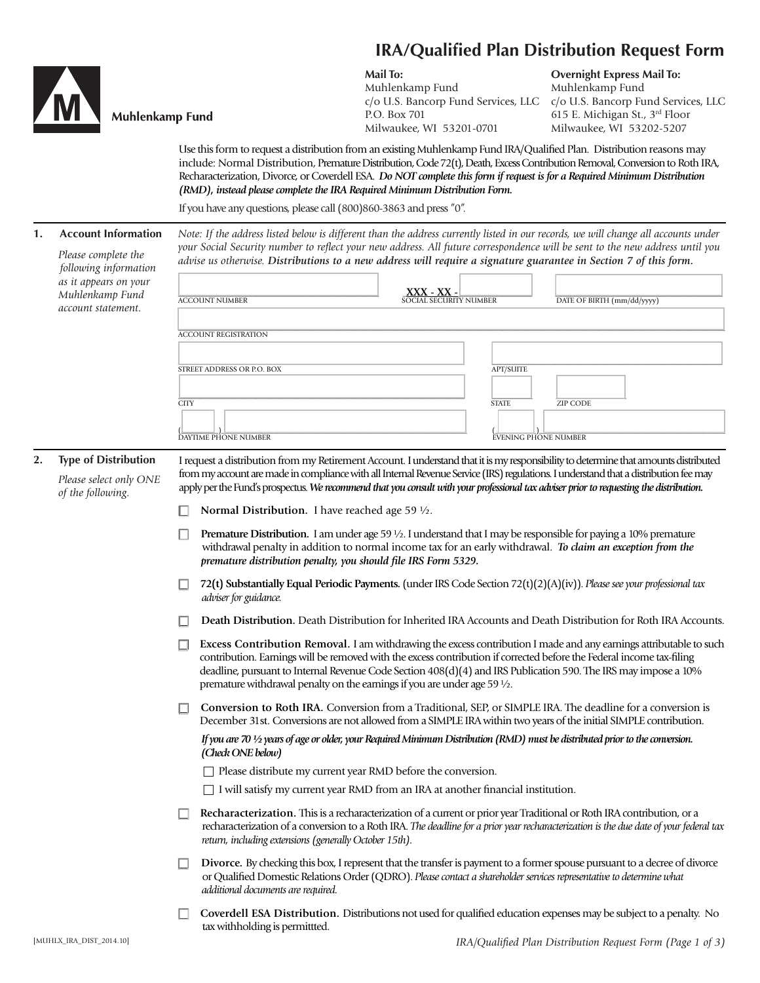

| M | Muhlen |
|---|--------|

## nkamp Fund

**Mail To:**

Muhlenkamp Fund c/o U.S. Bancorp Fund Services, LLC P.O. Box 701 Milwaukee, WI 53201-0701

**Overnight Express Mail To:** Muhlenkamp Fund c/o U.S. Bancorp Fund Services, LLC 615 E. Michigan St., 3rd Floor Milwaukee, WI 53202-5207

Use this form to request a distribution from an existing Muhlenkamp Fund IRA/Qualified Plan. Distribution reasons may include: Normal Distribution, Premature Distribution, Code 72(t), Death, Excess Contribution Removal, Conversion to Roth IRA, Recharacterization, Divorce, or Coverdell ESA. *Do NOT complete this form if request is for a Required Minimum Distribution (RMD), instead please complete the IRA Required Minimum Distribution Form.* 

If you have any questions, please call (800)860-3863 and press "0".

| 1. | <b>Account Information</b><br>Please complete the<br>following information |                                                                                                                                                                                                                                                                                                                                                                                                                         | Note: If the address listed below is different than the address currently listed in our records, we will change all accounts under<br>your Social Security number to reflect your new address. All future correspondence will be sent to the new address until you<br>advise us otherwise. Distributions to a new address will require a signature guarantee in Section 7 of this form. |  |
|----|----------------------------------------------------------------------------|-------------------------------------------------------------------------------------------------------------------------------------------------------------------------------------------------------------------------------------------------------------------------------------------------------------------------------------------------------------------------------------------------------------------------|-----------------------------------------------------------------------------------------------------------------------------------------------------------------------------------------------------------------------------------------------------------------------------------------------------------------------------------------------------------------------------------------|--|
|    | as it appears on your<br>Muhlenkamp Fund                                   |                                                                                                                                                                                                                                                                                                                                                                                                                         | <b>XXX - XX - EXAL SOCIAL SECURITY NUMBER</b>                                                                                                                                                                                                                                                                                                                                           |  |
|    | account statement.                                                         | <b>ACCOUNT NUMBER</b>                                                                                                                                                                                                                                                                                                                                                                                                   | DATE OF BIRTH (mm/dd/yyyy)                                                                                                                                                                                                                                                                                                                                                              |  |
|    |                                                                            | ACCOUNT REGISTRATION                                                                                                                                                                                                                                                                                                                                                                                                    |                                                                                                                                                                                                                                                                                                                                                                                         |  |
|    |                                                                            | STREET ADDRESS OR P.O. BOX                                                                                                                                                                                                                                                                                                                                                                                              | <b>APT/SUITE</b>                                                                                                                                                                                                                                                                                                                                                                        |  |
|    |                                                                            |                                                                                                                                                                                                                                                                                                                                                                                                                         |                                                                                                                                                                                                                                                                                                                                                                                         |  |
|    |                                                                            | <b>CITY</b>                                                                                                                                                                                                                                                                                                                                                                                                             | <b>STATE</b><br>ZIP CODE                                                                                                                                                                                                                                                                                                                                                                |  |
|    |                                                                            |                                                                                                                                                                                                                                                                                                                                                                                                                         |                                                                                                                                                                                                                                                                                                                                                                                         |  |
|    |                                                                            | ÒAYTIME PHONE NUMBER                                                                                                                                                                                                                                                                                                                                                                                                    | ÈVENING PHONE NUMBER                                                                                                                                                                                                                                                                                                                                                                    |  |
| 2. | <b>Type of Distribution</b><br>Please select only ONE<br>of the following. | I request a distribution from my Retirement Account. I understand that it is my responsibility to determine that amounts distributed<br>from my account are made in compliance with all Internal Revenue Service (IRS) regulations. I understand that a distribution fee may<br>apply per the Fund's prospectus. We recommend that you consult with your professional tax adviser prior to requesting the distribution. |                                                                                                                                                                                                                                                                                                                                                                                         |  |
|    |                                                                            | Normal Distribution. I have reached age 59 $\frac{1}{2}$ .                                                                                                                                                                                                                                                                                                                                                              |                                                                                                                                                                                                                                                                                                                                                                                         |  |
|    |                                                                            | premature distribution penalty, you should file IRS Form 5329.                                                                                                                                                                                                                                                                                                                                                          | Premature Distribution. I am under age 59 1/2. I understand that I may be responsible for paying a 10% premature<br>withdrawal penalty in addition to normal income tax for an early withdrawal. To claim an exception from the                                                                                                                                                         |  |
|    |                                                                            | □<br>adviser for guidance.                                                                                                                                                                                                                                                                                                                                                                                              | 72(t) Substantially Equal Periodic Payments. (under IRS Code Section 72(t)(2)(A)(iv)). Please see your professional tax                                                                                                                                                                                                                                                                 |  |
|    |                                                                            |                                                                                                                                                                                                                                                                                                                                                                                                                         | Death Distribution. Death Distribution for Inherited IRA Accounts and Death Distribution for Roth IRA Accounts.                                                                                                                                                                                                                                                                         |  |
|    |                                                                            | premature withdrawal penalty on the earnings if you are under age 59 1/2.                                                                                                                                                                                                                                                                                                                                               | Excess Contribution Removal. I am withdrawing the excess contribution I made and any earnings attributable to such<br>contribution. Earnings will be removed with the excess contribution if corrected before the Federal income tax-filing<br>deadline, pursuant to Internal Revenue Code Section 408(d)(4) and IRS Publication 590. The IRS may impose a 10%                          |  |
|    |                                                                            | ப                                                                                                                                                                                                                                                                                                                                                                                                                       | Conversion to Roth IRA. Conversion from a Traditional, SEP, or SIMPLE IRA. The deadline for a conversion is<br>December 31st. Conversions are not allowed from a SIMPLE IRA within two years of the initial SIMPLE contribution.                                                                                                                                                        |  |
|    |                                                                            | (Check ONE below)                                                                                                                                                                                                                                                                                                                                                                                                       | If you are $\pi$ 1/2 years of age or older, your Required Minimum Distribution (RMD) must be distributed prior to the conversion.                                                                                                                                                                                                                                                       |  |
|    |                                                                            | $\Box$ Please distribute my current year RMD before the conversion.                                                                                                                                                                                                                                                                                                                                                     |                                                                                                                                                                                                                                                                                                                                                                                         |  |
|    |                                                                            | I will satisfy my current year RMD from an IRA at another financial institution.                                                                                                                                                                                                                                                                                                                                        |                                                                                                                                                                                                                                                                                                                                                                                         |  |
|    |                                                                            | return, including extensions (generally October 15th).                                                                                                                                                                                                                                                                                                                                                                  | Recharacterization. This is a recharacterization of a current or prior year Traditional or Roth IRA contribution, or a<br>recharacterization of a conversion to a Roth IRA. The deadline for a prior year recharacterization is the due date of your federal tax                                                                                                                        |  |
|    |                                                                            | additional documents are required.                                                                                                                                                                                                                                                                                                                                                                                      | Divorce. By checking this box, I represent that the transfer is payment to a former spouse pursuant to a decree of divorce<br>or Qualified Domestic Relations Order (QDRO). Please contact a shareholder services representative to determine what                                                                                                                                      |  |
|    |                                                                            |                                                                                                                                                                                                                                                                                                                                                                                                                         | Coverdell ESA Distribution. Distributions not used for qualified education expenses may be subject to a penalty. No                                                                                                                                                                                                                                                                     |  |

tax withholding is permittted.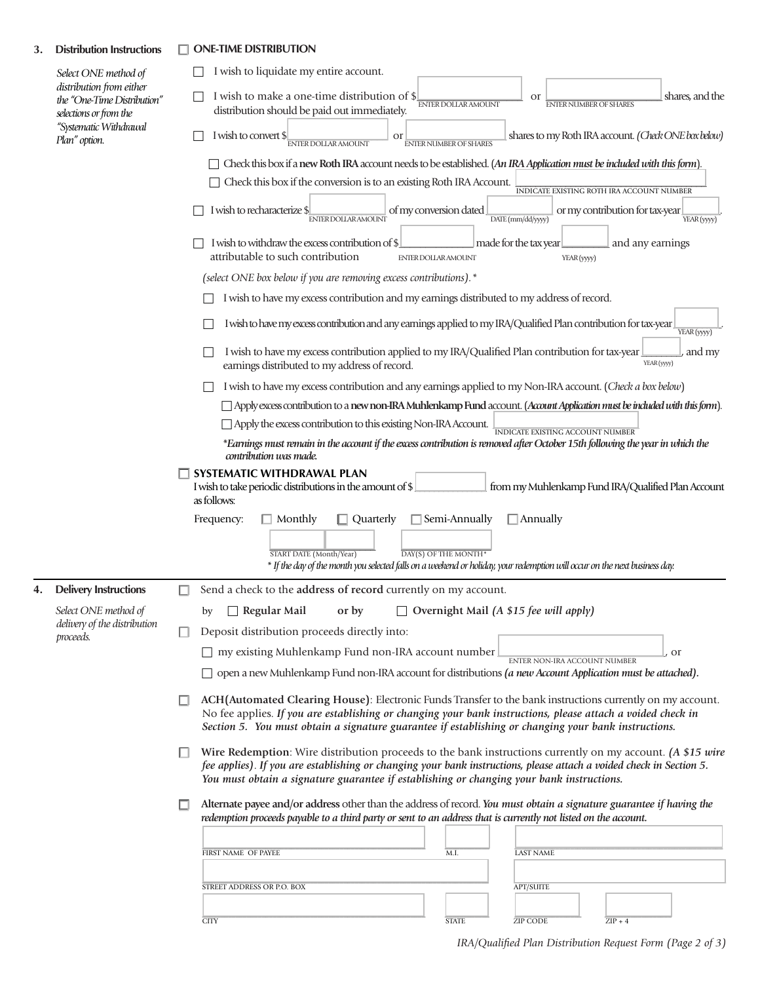## **3. Distribution Instructions** ONE-TIME DISTRIBUTION

| Select ONE method of<br>distribution from either<br>the "One-Time Distribution"<br>selections or from the<br>"Systematic Withdrawal<br>Plan" option. |                                                                                                                                                                                             | I wish to liquidate my entire account.                                                                                                                                                                                                                                                                                             |
|------------------------------------------------------------------------------------------------------------------------------------------------------|---------------------------------------------------------------------------------------------------------------------------------------------------------------------------------------------|------------------------------------------------------------------------------------------------------------------------------------------------------------------------------------------------------------------------------------------------------------------------------------------------------------------------------------|
|                                                                                                                                                      | I wish to make a one-time distribution of \$<br>shares, and the<br><b>or</b><br><b>ENTER DOLLAR AMOUNT</b><br><b>ENTER NUMBER OF SHARES</b><br>distribution should be paid out immediately. |                                                                                                                                                                                                                                                                                                                                    |
|                                                                                                                                                      |                                                                                                                                                                                             | shares to my Roth IRA account. (Check ONE box below)<br>I wish to convert \$<br>or<br><b>ENTER DOLLAR AMOUNT</b><br><b>ENTER NUMBER OF SHARES</b>                                                                                                                                                                                  |
|                                                                                                                                                      |                                                                                                                                                                                             | Check this box if a new Roth IRA account needs to be established. (An IRA Application must be included with this form).                                                                                                                                                                                                            |
|                                                                                                                                                      |                                                                                                                                                                                             | Check this box if the conversion is to an existing Roth IRA Account.<br>INDICATE EXISTING ROTH IRA ACCOUNT NUMBER                                                                                                                                                                                                                  |
|                                                                                                                                                      |                                                                                                                                                                                             | I wish to recharacterize \$<br>of my conversion dated<br>or my contribution for tax-year<br><b>ENTER DOLLAR AMOUNT</b><br>DATE (mm/dd/yyyy)<br>YEAR (yyyy)                                                                                                                                                                         |
|                                                                                                                                                      |                                                                                                                                                                                             | I wish to withdraw the excess contribution of \$<br>made for the tax year<br>and any earnings<br>attributable to such contribution<br><b>ENTER DOLLAR AMOUNT</b><br>YEAR (yyyy)                                                                                                                                                    |
|                                                                                                                                                      |                                                                                                                                                                                             | (select ONE box below if you are removing excess contributions).*                                                                                                                                                                                                                                                                  |
|                                                                                                                                                      |                                                                                                                                                                                             | I wish to have my excess contribution and my earnings distributed to my address of record.                                                                                                                                                                                                                                         |
|                                                                                                                                                      |                                                                                                                                                                                             | I wish to have my excess contribution and any earnings applied to my IRA/Qualified Plan contribution for tax-year<br>YEAR (yyyy)                                                                                                                                                                                                   |
|                                                                                                                                                      |                                                                                                                                                                                             | I wish to have my excess contribution applied to my IRA/Qualified Plan contribution for tax-year<br>and my<br>YEAR (yyyy)<br>earnings distributed to my address of record.                                                                                                                                                         |
|                                                                                                                                                      |                                                                                                                                                                                             | I wish to have my excess contribution and any earnings applied to my Non-IRA account. (Check a box below)                                                                                                                                                                                                                          |
|                                                                                                                                                      |                                                                                                                                                                                             | Apply excess contribution to a new non-IRA Muhlenkamp Fund account. (Account Application must be included with this form).                                                                                                                                                                                                         |
|                                                                                                                                                      |                                                                                                                                                                                             | Apply the excess contribution to this existing Non-IRA Account.<br>INDICATE EXISTING ACCOUNT NUMBER                                                                                                                                                                                                                                |
|                                                                                                                                                      |                                                                                                                                                                                             | *Earnings must remain in the account if the excess contribution is removed after October 15th following the year in which the<br>contribution was made.                                                                                                                                                                            |
|                                                                                                                                                      |                                                                                                                                                                                             | SYSTEMATIC WITHDRAWAL PLAN<br>from my Muhlenkamp Fund IRA/Qualified Plan Account<br>I wish to take periodic distributions in the amount of \$<br>as follows:                                                                                                                                                                       |
|                                                                                                                                                      |                                                                                                                                                                                             | Quarterly<br>  Semi-Annually<br>Frequency:<br>Monthly<br>$\Box$ Annually<br>START DATE (Month/Year)<br>DAY(S) OF THE MONTH*<br>* If the day of the month you selected falls on a weekend or holiday, your redemption will occur on the next business day.                                                                          |
| 4.                                                                                                                                                   | <b>Delivery Instructions</b>                                                                                                                                                                | Send a check to the address of record currently on my account.                                                                                                                                                                                                                                                                     |
|                                                                                                                                                      | Select ONE method of                                                                                                                                                                        | $\Box$ Overnight Mail (A \$15 fee will apply)<br>$\Box$ Regular Mail<br>or by<br>by                                                                                                                                                                                                                                                |
|                                                                                                                                                      | delivery of the distribution<br>proceeds.                                                                                                                                                   | Deposit distribution proceeds directly into:<br>ш                                                                                                                                                                                                                                                                                  |
|                                                                                                                                                      |                                                                                                                                                                                             | $\Box$ my existing Muhlenkamp Fund non-IRA account number<br><sub>or</sub>                                                                                                                                                                                                                                                         |
|                                                                                                                                                      |                                                                                                                                                                                             | ENTER NON-IRA ACCOUNT NUMBER<br>$\Box$ open a new Muhlenkamp Fund non-IRA account for distributions (a new Account Application must be attached).                                                                                                                                                                                  |
|                                                                                                                                                      |                                                                                                                                                                                             | ACH (Automated Clearing House): Electronic Funds Transfer to the bank instructions currently on my account.<br>No fee applies. If you are establishing or changing your bank instructions, please attach a voided check in<br>Section 5. You must obtain a signature guarantee if establishing or changing your bank instructions. |
|                                                                                                                                                      |                                                                                                                                                                                             | Wire Redemption: Wire distribution proceeds to the bank instructions currently on my account. (A \$15 wire<br>fee applies). If you are establishing or changing your bank instructions, please attach a voided check in Section 5.<br>You must obtain a signature guarantee if establishing or changing your bank instructions.    |
|                                                                                                                                                      |                                                                                                                                                                                             | Alternate payee and/or address other than the address of record. You must obtain a signature guarantee if having the<br>redemption proceeds payable to a third party or sent to an address that is currently not listed on the account.                                                                                            |
|                                                                                                                                                      |                                                                                                                                                                                             |                                                                                                                                                                                                                                                                                                                                    |
|                                                                                                                                                      |                                                                                                                                                                                             | <b>LAST NAME</b><br>FIRST NAME OF PAYEE<br>M.I.                                                                                                                                                                                                                                                                                    |
|                                                                                                                                                      |                                                                                                                                                                                             |                                                                                                                                                                                                                                                                                                                                    |
|                                                                                                                                                      |                                                                                                                                                                                             | <b>APT/SUITE</b><br>STREET ADDRESS OR P.O. BOX                                                                                                                                                                                                                                                                                     |
|                                                                                                                                                      |                                                                                                                                                                                             | <b>ZIP CODE</b><br><b>CITY</b><br><b>STATE</b><br>$ZIP + 4$                                                                                                                                                                                                                                                                        |
|                                                                                                                                                      |                                                                                                                                                                                             |                                                                                                                                                                                                                                                                                                                                    |